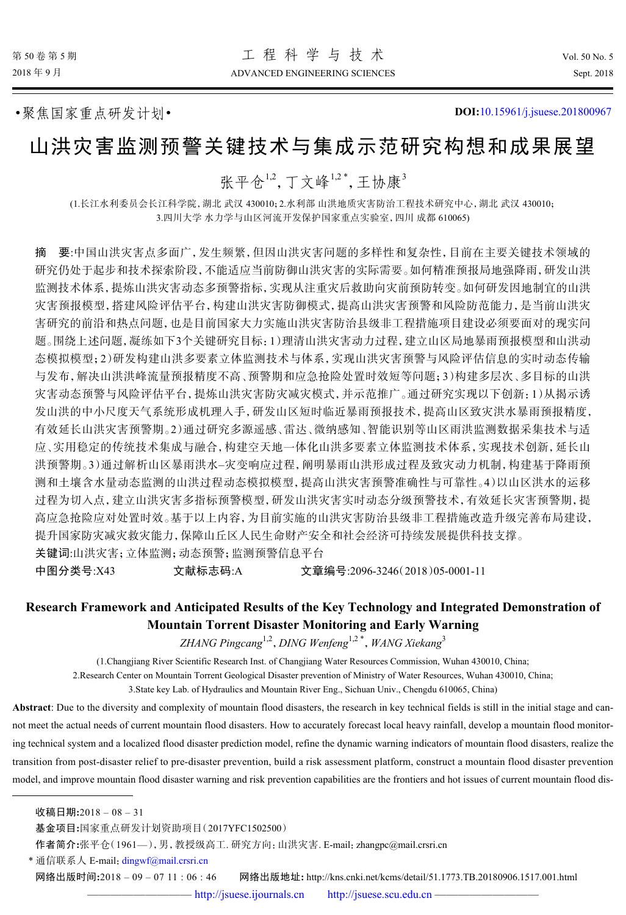•聚焦国家重点研发计划• **DOI:**[10.15961/j.jsuese.201800967](http://dx.doi.org/10.15961/j.jsuese.201800967)

# 山洪灾害监测预警关键技术与集成示范研究构想和成果展望

张平仓<sup>1,2</sup>, 丁文峰<sup>1,2\*</sup>, 王协康<sup>3</sup>

(1.长江水利委员会长江科学院,湖北 武汉 430010;2.水利部 山洪地质灾害防治工程技术研究中心,湖北 武汉 430010; 3.四川大学 水力学与山区河流开发保护国家重点实验室,四川 成都 610065)

摘 要:中国山洪灾害点多面广,发生频繁,但因山洪灾害问题的多样性和复杂性,目前在主要关键技术领域的 研究仍处于起步和技术探索阶段,不能适应当前防御山洪灾害的实际需要。如何精准预报局地强降雨,研发山洪 监测技术体系,提炼山洪灾害动态多预警指标,实现从注重灾后救助向灾前预防转变。如何研发因地制宜的山洪 灾害预报模型,搭建风险评估平台,构建山洪灾害防御模式,提高山洪灾害预警和风险防范能力,是当前山洪灾 害研究的前沿和热点问题,也是目前国家大力实施山洪灾害防治县级非工程措施项目建设必须要面对的现实问 题。围绕上述问题,凝练如下3个关键研究目标:1)理清山洪灾害动力过程,建立山区局地暴雨预报模型和山洪动 态模拟模型;2)研发构建山洪多要素立体监测技术与体系,实现山洪灾害预警与风险评估信息的实时动态传输 与发布,解决山洪洪峰流量预报精度不高、预警期和应急抢险处置时效短等问题;3)构建多层次、多目标的山洪 灾害动态预警与风险评估平台,提炼山洪灾害防灾减灾模式,并示范推广。通过研究实现以下创新:1)从揭示诱 发山洪的中小尺度天气系统形成机理入手,研发山区短时临近暴雨预报技术,提高山区致灾洪水暴雨预报精度, 有效延长山洪灾害预警期。2)通过研究多源遥感、雷达、微纳感知、智能识别等山区雨洪监测数据采集技术与适 应、实用稳定的传统技术集成与融合,构建空天地一体化山洪多要素立体监测技术体系,实现技术创新,延长山 洪预警期。3)通过解析山区暴雨洪水–灾变响应过程,阐明暴雨山洪形成过程及致灾动力机制,构建基于降雨预 测和土壤含水量动态监测的山洪过程动态模拟模型,提高山洪灾害预警准确性与可靠性。4)以山区洪水的运移 过程为切入点,建立山洪灾害多指标预警模型,研发山洪灾害实时动态分级预警技术,有效延长灾害预警期,提 高应急抢险应对处置时效。基于以上内容,为目前实施的山洪灾害防治县级非工程措施改造升级完善布局建设, 提升国家防灾减灾救灾能力,保障山丘区人民生命财产安全和社会经济可持续发展提供科技支撑。 关键词:山洪灾害;立体监测;动态预警;监测预警信息平台

中图分类号:X43 文献标志码:A 文章编号:2096-3246(2018)05-0001-11

## **Research Framework and Anticipated Results of the Key Technology and Integrated Demonstration of Mountain Torrent Disaster Monitoring and Early Warning**

*ZHANG Pingcang*1,2 ,*DING Wenfeng*1,2 \* ,*WANG Xiekang*<sup>3</sup>

(1.Changjiang River Scientific Research Inst. of Changjiang Water Resources Commission, Wuhan 430010, China;

2.Research Center on Mountain Torrent Geological Disaster prevention of Ministry of Water Resources, Wuhan 430010, China;

3.State key Lab. of Hydraulics and Mountain River Eng., Sichuan Univ., Chengdu 610065, China)

**Abstract**: Due to the diversity and complexity of mountain flood disasters, the research in key technical fields is still in the initial stage and cannot meet the actual needs of current mountain flood disasters. How to accurately forecast local heavy rainfall, develop a mountain flood monitoring technical system and a localized flood disaster prediction model, refine the dynamic warning indicators of mountain flood disasters, realize the transition from post-disaster relief to pre-disaster prevention, build a risk assessment platform, construct a mountain flood disaster prevention model, and improve mountain flood disaster warning and risk prevention capabilities are the frontiers and hot issues of current mountain flood dis-

\* 通信联系人 E-mail: [dingwf@mail.crsri.cn](mailto:dingwf@mail.crsri.cn)

网络出版时间**:**2018 – 09 – 07 11 : 06 : 46 网络出版地址**:** http://kns.cnki.net/kcms/detail/51.1773.TB.20180906.1517.001.html

收稿日期**:**2018 – 08 – 31

基金项目**:**国家重点研发计划资助项目(2017YFC1502500)

作者简介**:**张平仓(1961—),男,教授级高工. 研究方向:山洪灾害. E-mail:zhangpc@mail.crsri.cn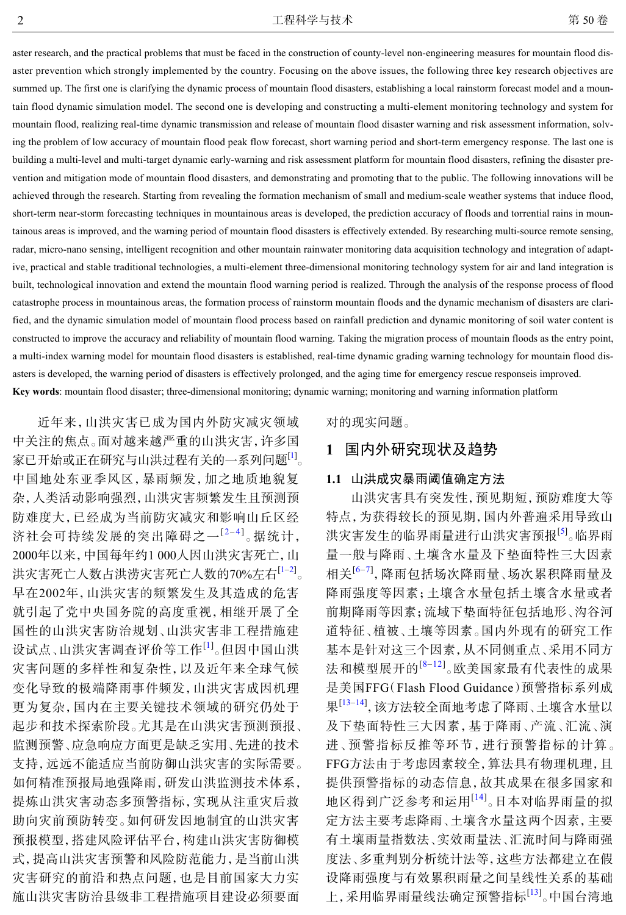aster research, and the practical problems that must be faced in the construction of county-level non-engineering measures for mountain flood disaster prevention which strongly implemented by the country. Focusing on the above issues, the following three key research objectives are summed up. The first one is clarifying the dynamic process of mountain flood disasters, establishing a local rainstorm forecast model and a mountain flood dynamic simulation model. The second one is developing and constructing a multi-element monitoring technology and system for mountain flood, realizing real-time dynamic transmission and release of mountain flood disaster warning and risk assessment information, solving the problem of low accuracy of mountain flood peak flow forecast, short warning period and short-term emergency response. The last one is building a multi-level and multi-target dynamic early-warning and risk assessment platform for mountain flood disasters, refining the disaster prevention and mitigation mode of mountain flood disasters, and demonstrating and promoting that to the public. The following innovations will be achieved through the research. Starting from revealing the formation mechanism of small and medium-scale weather systems that induce flood, short-term near-storm forecasting techniques in mountainous areas is developed, the prediction accuracy of floods and torrential rains in mountainous areas is improved, and the warning period of mountain flood disasters is effectively extended. By researching multi-source remote sensing, radar, micro-nano sensing, intelligent recognition and other mountain rainwater monitoring data acquisition technology and integration of adaptive, practical and stable traditional technologies, a multi-element three-dimensional monitoring technology system for air and land integration is built, technological innovation and extend the mountain flood warning period is realized. Through the analysis of the response process of flood catastrophe process in mountainous areas, the formation process of rainstorm mountain floods and the dynamic mechanism of disasters are clarified, and the dynamic simulation model of mountain flood process based on rainfall prediction and dynamic monitoring of soil water content is constructed to improve the accuracy and reliability of mountain flood warning. Taking the migration process of mountain floods as the entry point, a multi-index warning model for mountain flood disasters is established, real-time dynamic grading warning technology for mountain flood disasters is developed, the warning period of disasters is effectively prolonged, and the aging time for emergency rescue responseis improved. **Key words**: mountain flood disaster; three-dimensional monitoring; dynamic warning; monitoring and warning information platform

近年来,山洪灾害已成为国内外防灾减灾领域 中关注的焦点。面对越来越严重的山洪灾害,许多国 家已开始或正在研究与山洪过程有关的一系列问题<sup>[[1\]](#page-8-0)</sup>。 中国地处东亚季风区,暴雨频发,加之地质地貌复 杂,人类活动影响强烈,山洪灾害频繁发生且预测预 防难度大,已经成为当前防灾减灾和影响山丘区经 济社会可持续发展的突出障碍之一<sup>[[2](#page-8-1)-[4](#page-8-2)]</sup>。据统计, 2000年以来,中国每年约1 000人因山洪灾害死亡,山 洪灾害死亡人数占洪涝灾害死亡人数的70%左右<sup>[[1](#page-8-0)–[2\]](#page-8-1)</sup>。 早在2002年,山洪灾害的频繁发生及其造成的危害 就引起了党中央国务院的高度重视,相继开展了全 国性的山洪灾害防治规划、山洪灾害非工程措施建 设试点、山洪灾害调查评价等工作<sup>[\[1\]](#page-8-0)</sup>。但因中国山洪 灾害问题的多样性和复杂性,以及近年来全球气候 变化导致的极端降雨事件频发,山洪灾害成因机理 更为复杂,国内在主要关键技术领域的研究仍处于 起步和技术探索阶段。尤其是在山洪灾害预测预报、 监测预警、应急响应方面更是缺乏实用、先进的技术 支持,远远不能适应当前防御山洪灾害的实际需要。 如何精准预报局地强降雨,研发山洪监测技术体系, 提炼山洪灾害动态多预警指标,实现从注重灾后救 助向灾前预防转变。如何研发因地制宜的山洪灾害 预报模型,搭建风险评估平台,构建山洪灾害防御模 式,提高山洪灾害预警和风险防范能力,是当前山洪 灾害研究的前沿和热点问题,也是目前国家大力实 施山洪灾害防治县级非工程措施项目建设必须要面

对的现实问题。

## **1** 国内外研究现状及趋势

## **1.1** 山洪成灾暴雨阈值确定方法

山洪灾害具有突发性,预见期短,预防难度大等 特点,为获得较长的预见期,国内外普遍采用导致山 洪灾害发生的临界雨量进行山洪灾害预报<sup>[\[5\]](#page-8-3)</sup>。临界雨 量一般与降雨、土壤含水量及下垫面特性三大因素 相关<sup>[[6–](#page-8-4)[7\]](#page-8-5)</sup>, 降雨包括场次降雨量、场次累积降雨量及 降雨强度等因素;土壤含水量包括土壤含水量或者 前期降雨等因素;流域下垫面特征包括地形、沟谷河 道特征、植被、土壤等因素。国内外现有的研究工作 基本是针对这三个因素,从不同侧重点、采用不同方 法和模型展开的<sup>[[8](#page-8-6)-[12](#page-9-0)]</sup>。欧美国家最有代表性的成果 是美国FFG(Flash Flood Guidance)预警指标系列成 果[\[13](#page-9-1)-[14\]](#page-9-2), 该方法较全面地考虑了降雨、土壤含水量以 及下垫面特性三大因素,基于降雨、产流、汇流、演 进、预警指标反推等环节,进行预警指标的计算。 FFG方法由于考虑因素较全,算法具有物理机理,且 提供预警指标的动态信息,故其成果在很多国家和 地区得到广泛参考和运用[\[14\]](#page-9-2) 。日本对临界雨量的拟 定方法主要考虑降雨、土壤含水量这两个因素,主要 有土壤雨量指数法、实效雨量法、汇流时间与降雨强 度法、多重判别分析统计法等,这些方法都建立在假 设降雨强度与有效累积雨量之间呈线性关系的基础 上,采用临界雨量线法确定预警指标<sup>[[13\]](#page-9-1)</sup>。中国台湾地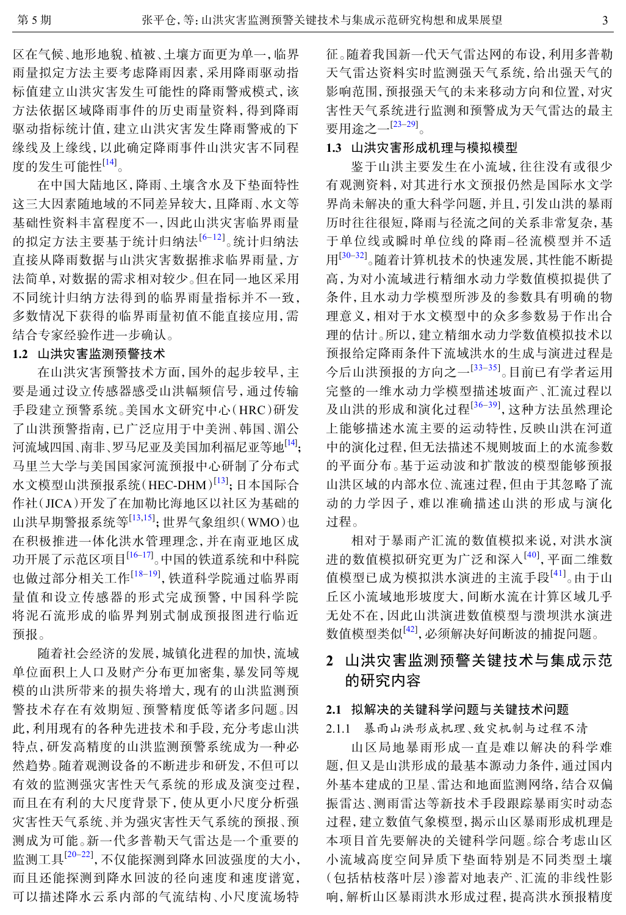区在气候、地形地貌、植被、土壤方面更为单一,临界 雨量拟定方法主要考虑降雨因素,采用降雨驱动指 标值建立山洪灾害发生可能性的降雨警戒模式,该 方法依据区域降雨事件的历史雨量资料,得到降雨 驱动指标统计值,建立山洪灾害发生降雨警戒的下 缘线及上缘线,以此确定降雨事件山洪灾害不同程 度的发生可能性<sup>[\[14](#page-9-2)]</sup>。

在中国大陆地区,降雨、土壤含水及下垫面特性 这三大因素随地域的不同差异较大,且降雨、水文等 基础性资料丰富程度不一,因此山洪灾害临界雨量 的拟定方法主要基于统计归纳法[[6](#page-8-4)–[12](#page-9-0)] 。统计归纳法 直接从降雨数据与山洪灾害数据推求临界雨量,方 法简单,对数据的需求相对较少。但在同一地区采用 不同统计归纳方法得到的临界雨量指标并不一致, 多数情况下获得的临界雨量初值不能直接应用,需 结合专家经验作进一步确认。

## **1.2** 山洪灾害监测预警技术

在山洪灾害预警技术方面,国外的起步较早,主 要是通过设立传感器感受山洪幅频信号,通过传输 手段建立预警系统。美国水文研究中心(HRC)研发 了山洪预警指南,已广泛应用于中美洲、韩国、湄公 河流域四国、南非、罗马尼亚及美国加利福尼亚等地<sup>[\[14\]](#page-9-2)</sup>; 马里兰大学与美国国家河流预报中心研制了分布式 水文模型山洪预报系统(HEC-DHM)<sup>[[13\]](#page-9-1)</sup>; 日本国际合 作社(JICA)开发了在加勒比海地区以社区为基础的 山洪早期警报系统等[[13,](#page-9-1)[15\]](#page-9-3);世界气象组织(WMO)也 在积极推进一体化洪水管理理念,并在南亚地区成 功开展了示范区项目<sup>[[16–](#page-9-4)[17\]](#page-9-5)</sup>。中国的铁道系统和中科院 也做过部分相关工作<sup>[18-[19](#page-9-7)]</sup>,铁道科学院通过临界雨 量值和设立传感器的形式完成预警,中国科学院 将泥石流形成的临界判别式制成预报图进行临近 预报。

随着社会经济的发展,城镇化进程的加快,流域 单位面积上人口及财产分布更加密集,暴发同等规 模的山洪所带来的损失将增大,现有的山洪监测预 警技术存在有效期短、预警精度低等诸多问题。因 此,利用现有的各种先进技术和手段,充分考虑山洪 特点,研发高精度的山洪监测预警系统成为一种必 然趋势。随着观测设备的不断进步和研发,不但可以 有效的监测强灾害性天气系统的形成及演变过程, 而且在有利的大尺度背景下,使从更小尺度分析强 灾害性天气系统、并为强灾害性天气系统的预报、预 测成为可能。新一代多普勒天气雷达是一个重要的 监测工具[\[20](#page-9-8)-[22](#page-9-9)], 不仅能探测到降水回波强度的大小, 而且还能探测到降水回波的径向速度和速度谱宽, 可以描述降水云系内部的气流结构、小尺度流场特

征。随着我国新一代天气雷达网的布设,利用多普勒 天气雷达资料实时监测强天气系统,给出强天气的 影响范围,预报强天气的未来移动方向和位置,对灾 害性天气系统进行监测和预警成为天气雷达的最主 要用途之一<sup>[\[23](#page-9-10)–[29\]](#page-9-11)</sup>。

## **1.3** 山洪灾害形成机理与模拟模型

鉴于山洪主要发生在小流域,往往没有或很少 有观测资料,对其进行水文预报仍然是国际水文学 界尚未解决的重大科学问题,并且,引发山洪的暴雨 历时往往很短,降雨与径流之间的关系非常复杂,基 于单位线或瞬时单位线的降雨–径流模型并不适 用<sup>[\[30](#page-9-12)–[32\]](#page-10-0)</sup>。随着计算机技术的快速发展,其性能不断提 高,为对小流域进行精细水动力学数值模拟提供了 条件,且水动力学模型所涉及的参数具有明确的物 理意义,相对于水文模型中的众多参数易于作出合 理的估计。所以,建立精细水动力学数值模拟技术以 预报给定降雨条件下流域洪水的生成与演进过程是 今后山洪预报的方向之一<sup>[[33](#page-10-1)–[35\]](#page-10-2)</sup>。目前已有学者运用 完整的一维水动力学模型描述坡面产、汇流过程以 及山洪的形成和演化过程<sup>[[36](#page-10-3)-[39\]](#page-10-4)</sup>, 这种方法虽然理论 上能够描述水流主要的运动特性,反映山洪在河道 中的演化过程,但无法描述不规则坡面上的水流参数 的平面分布。基于运动波和扩散波的模型能够预报 山洪区域的内部水位、流速过程,但由于其忽略了流 动的力学因子,难以准确描述山洪的形成与演化 过程。

相对于暴雨产汇流的数值模拟来说,对洪水演 进的数值模拟研究更为广泛和深入<sup>[[40](#page-10-5)]</sup>, 平面二维数 值模型已成为模拟洪水演进的主流手段<sup>[[41](#page-10-6)]</sup>。由于山 丘区小流域地形坡度大,间断水流在计算区域几乎 无处不在,因此山洪演进数值模型与溃坝洪水演进 数值模型类似<sup>[\[42](#page-10-7)]</sup>,必须解决好间断波的捕捉问题。

## **2** 山洪灾害监测预警关键技术与集成示范 的研究内容

## **2.1** 拟解决的关键科学问题与关键技术问题

## 2.1.1 暴雨山洪形成机理、致灾机制与过程不清

山区局地暴雨形成一直是难以解决的科学难 题,但又是山洪形成的最基本源动力条件,通过国内 外基本建成的卫星、雷达和地面监测网络,结合双偏 振雷达、测雨雷达等新技术手段跟踪暴雨实时动态 过程,建立数值气象模型,揭示山区暴雨形成机理是 本项目首先要解决的关键科学问题。综合考虑山区 小流域高度空间异质下垫面特别是不同类型土壤 (包括枯枝落叶层)渗蓄对地表产、汇流的非线性影 响,解析山区暴雨洪水形成过程,提高洪水预报精度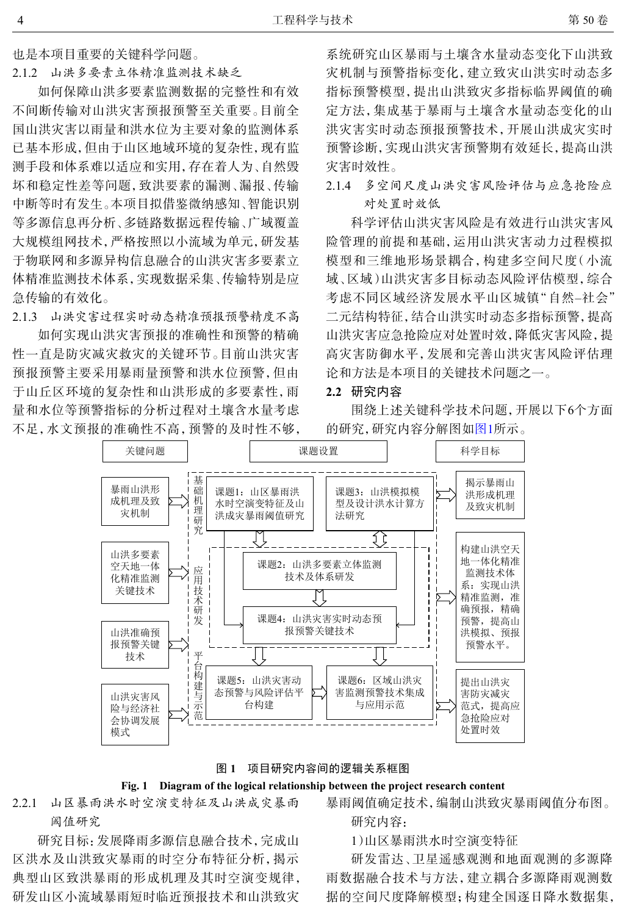也是本项目重要的关键科学问题。

2.1.2 山洪多要素立体精准监测技术缺乏

如何保障山洪多要素监测数据的完整性和有效 不间断传输对山洪灾害预报预警至关重要。目前全 国山洪灾害以雨量和洪水位为主要对象的监测体系 已基本形成,但由于山区地域环境的复杂性,现有监 测手段和体系难以适应和实用,存在着人为、自然毁 坏和稳定性差等问题,致洪要素的漏测、漏报、传输 中断等时有发生。本项目拟借鉴微纳感知、智能识别 等多源信息再分析、多链路数据远程传输、广域覆盖 大规模组网技术,严格按照以小流域为单元,研发基 于物联网和多源异构信息融合的山洪灾害多要素立 体精准监测技术体系,实现数据采集、传输特别是应 急传输的有效化。

2.1.3 山洪灾害过程实时动态精准预报预警精度不高

如何实现山洪灾害预报的准确性和预警的精确 性一直是防灾减灾救灾的关键环节。目前山洪灾害 预报预警主要采用暴雨量预警和洪水位预警,但由 于山丘区环境的复杂性和山洪形成的多要素性,雨 量和水位等预警指标的分析过程对土壤含水量考虑 不足,水文预报的准确性不高,预警的及时性不够,

系统研究山区暴雨与土壤含水量动态变化下山洪致 灾机制与预警指标变化,建立致灾山洪实时动态多 指标预警模型,提出山洪致灾多指标临界阈值的确 定方法,集成基于暴雨与土壤含水量动态变化的山 洪灾害实时动态预报预警技术,开展山洪成灾实时 预警诊断,实现山洪灾害预警期有效延长,提高山洪 灾害时效性。

2.1.4 多空间尺度山洪灾害风险评估与应急抢险应 对处置时效低

科学评估山洪灾害风险是有效进行山洪灾害风 险管理的前提和基础,运用山洪灾害动力过程模拟 模型和三维地形场景耦合,构建多空间尺度(小流 域、区域)山洪灾害多目标动态风险评估模型,综合 考虑不同区域经济发展水平山区城镇"自然–社会" 二元结构特征,结合山洪实时动态多指标预警,提高 山洪灾害应急抢险应对处置时效,降低灾害风险,提 高灾害防御水平,发展和完善山洪灾害风险评估理 论和方法是本项目的关键技术问题之一。

#### **2.2** 研究内容

围绕上述关键科学技术问题,开展以下6个方面 的研究,研究内容分解图[如图](#page-3-0)[1](#page-3-0)所示。

<span id="page-3-0"></span>

#### 图 **1** 项目研究内容间的逻辑关系框图

## **Fig. 1 Diagram of the logical relationship between the project research content**

2.2.1 山区暴雨洪水时空演变特征及山洪成灾暴雨 阈值研究

研究目标:发展降雨多源信息融合技术,完成山 区洪水及山洪致灾暴雨的时空分布特征分析,揭示 典型山区致洪暴雨的形成机理及其时空演变规律, 研发山区小流域暴雨短时临近预报技术和山洪致灾 暴雨阈值确定技术,编制山洪致灾暴雨阈值分布图。

研究内容:

1)山区暴雨洪水时空演变特征

研发雷达、卫星遥感观测和地面观测的多源降 雨数据融合技术与方法,建立耦合多源降雨观测数 据的空间尺度降解模型;构建全国逐日降水数据集,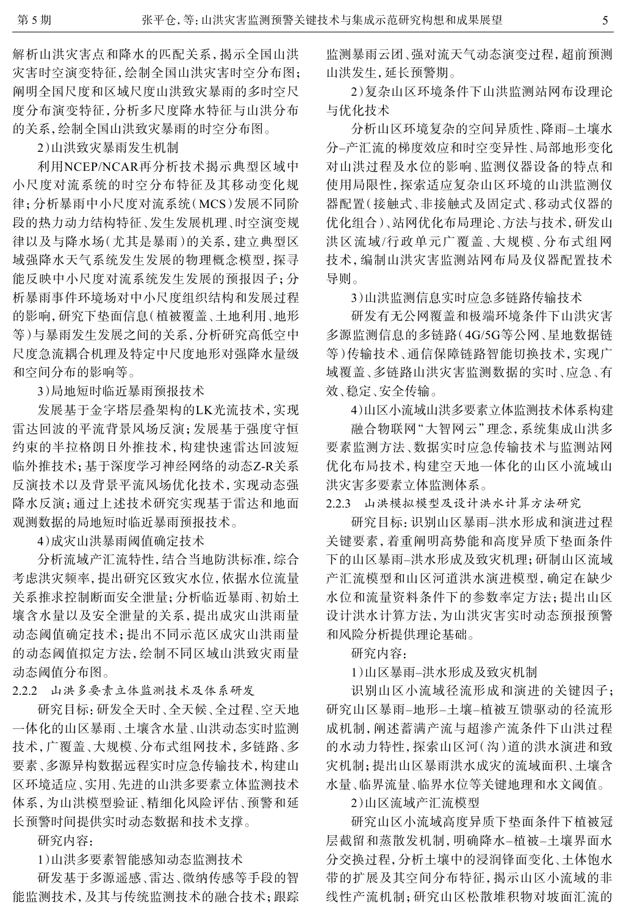解析山洪灾害点和降水的匹配关系,揭示全国山洪 灾害时空演变特征,绘制全国山洪灾害时空分布图; 阐明全国尺度和区域尺度山洪致灾暴雨的多时空尺 度分布演变特征,分析多尺度降水特征与山洪分布 的关系,绘制全国山洪致灾暴雨的时空分布图。

2)山洪致灾暴雨发生机制

利用NCEP/NCAR再分析技术揭示典型区域中 小尺度对流系统的时空分布特征及其移动变化规 律;分析暴雨中小尺度对流系统(MCS)发展不同阶 段的热力动力结构特征、发生发展机理、时空演变规 律以及与降水场(尤其是暴雨)的关系,建立典型区 域强降水天气系统发生发展的物理概念模型,探寻 能反映中小尺度对流系统发生发展的预报因子;分 析暴雨事件环境场对中小尺度组织结构和发展过程 的影响,研究下垫面信息(植被覆盖、土地利用、地形 等)与暴雨发生发展之间的关系,分析研究高低空中 尺度急流耦合机理及特定中尺度地形对强降水量级 和空间分布的影响等。

3)局地短时临近暴雨预报技术

发展基于金字塔层叠架构的LK光流技术,实现 雷达回波的平流背景风场反演;发展基于强度守恒 约束的半拉格朗日外推技术,构建快速雷达回波短 临外推技术;基于深度学习神经网络的动态Z-R关系 反演技术以及背景平流风场优化技术,实现动态强 降水反演;通过上述技术研究实现基于雷达和地面 观测数据的局地短时临近暴雨预报技术。

4)成灾山洪暴雨阈值确定技术

分析流域产汇流特性,结合当地防洪标准,综合 考虑洪灾频率,提出研究区致灾水位,依据水位流量 关系推求控制断面安全泄量;分析临近暴雨、初始土 壤含水量以及安全泄量的关系,提出成灾山洪雨量 动态阈值确定技术;提出不同示范区成灾山洪雨量 的动态阈值拟定方法,绘制不同区域山洪致灾雨量 动态阈值分布图。

2.2.2 山洪多要素立体监测技术及体系研发

研究目标:研发全天时、全天候、全过程、空天地 一体化的山区暴雨、土壤含水量、山洪动态实时监测 技术,广覆盖、大规模、分布式组网技术,多链路、多 要素、多源异构数据远程实时应急传输技术,构建山 区环境适应、实用、先进的山洪多要素立体监测技术 体系,为山洪模型验证、精细化风险评估、预警和延 长预警时间提供实时动态数据和技术支撑。

研究内容:

1)山洪多要素智能感知动态监测技术

研发基于多源遥感、雷达、微纳传感等手段的智 能监测技术,及其与传统监测技术的融合技术;跟踪 监测暴雨云团、强对流天气动态演变过程,超前预测 山洪发生,延长预警期。

2)复杂山区环境条件下山洪监测站网布设理论 与优化技术

分析山区环境复杂的空间异质性、降雨–土壤水 分–产汇流的梯度效应和时空变异性、局部地形变化 对山洪过程及水位的影响、监测仪器设备的特点和 使用局限性,探索适应复杂山区环境的山洪监测仪 器配置(接触式、非接触式及固定式、移动式仪器的 优化组合)、站网优化布局理论、方法与技术,研发山 洪区流域/行政单元广覆盖、大规模、分布式组网 技术,编制山洪灾害监测站网布局及仪器配置技术 导则。

3)山洪监测信息实时应急多链路传输技术

研发有无公网覆盖和极端环境条件下山洪灾害 多源监测信息的多链路(4G/5G等公网、星地数据链 等)传输技术、通信保障链路智能切换技术,实现广 域覆盖、多链路山洪灾害监测数据的实时、应急、有 效、稳定、安全传输。

4)山区小流域山洪多要素立体监测技术体系构建

融合物联网"大智网云"理念,系统集成山洪多 要素监测方法、数据实时应急传输技术与监测站网 优化布局技术,构建空天地一体化的山区小流域山 洪灾害多要素立体监测体系。

2.2.3 山洪模拟模型及设计洪水计算方法研究

研究目标:识别山区暴雨–洪水形成和演进过程 关键要素,着重阐明高势能和高度异质下垫面条件 下的山区暴雨–洪水形成及致灾机理;研制山区流域 产汇流模型和山区河道洪水演进模型,确定在缺少 水位和流量资料条件下的参数率定方法;提出山区 设计洪水计算方法,为山洪灾害实时动态预报预警 和风险分析提供理论基础。

研究内容:

1)山区暴雨–洪水形成及致灾机制

识别山区小流域径流形成和演进的关键因子; 研究山区暴雨–地形–土壤–植被互馈驱动的径流形 成机制,阐述蓄满产流与超渗产流条件下山洪过程 的水动力特性,探索山区河(沟)道的洪水演进和致 灾机制;提出山区暴雨洪水成灾的流域面积、土壤含 水量、临界流量、临界水位等关键地理和水文阈值。

2)山区流域产汇流模型

研究山区小流域高度异质下垫面条件下植被冠 层截留和蒸散发机制,明确降水–植被–土壤界面水 分交换过程,分析土壤中的浸润锋面变化、土体饱水 带的扩展及其空间分布特征,揭示山区小流域的非 线性产流机制;研究山区松散堆积物对坡面汇流的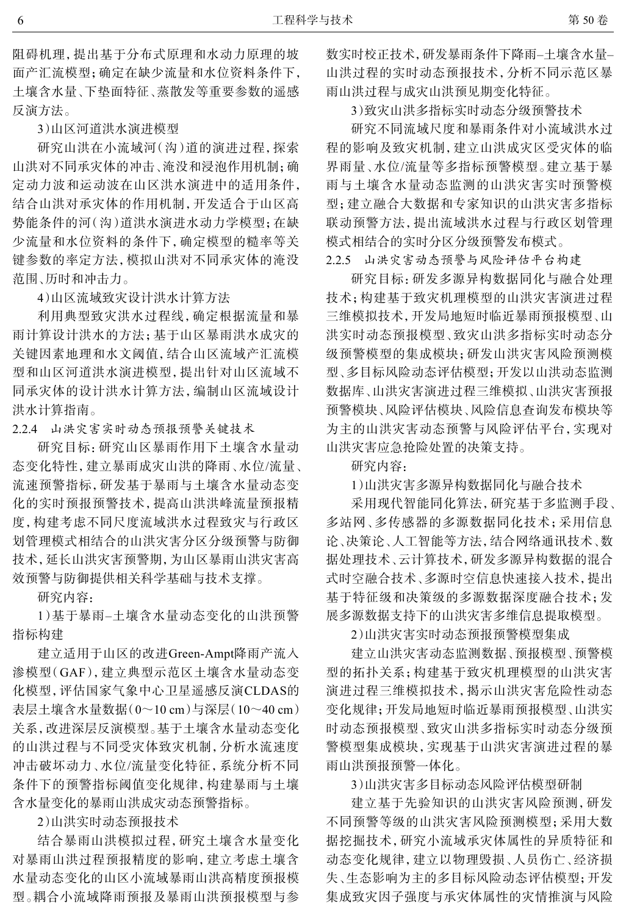阻碍机理,提出基于分布式原理和水动力原理的坡 面产汇流模型;确定在缺少流量和水位资料条件下, 土壤含水量、下垫面特征、蒸散发等重要参数的遥感 反演方法。

3)山区河道洪水演进模型

研究山洪在小流域河(沟)道的演进过程,探索 山洪对不同承灾体的冲击、淹没和浸泡作用机制;确 定动力波和运动波在山区洪水演进中的适用条件, 结合山洪对承灾体的作用机制,开发适合于山区高 势能条件的河(沟)道洪水演进水动力学模型;在缺 少流量和水位资料的条件下,确定模型的糙率等关 键参数的率定方法,模拟山洪对不同承灾体的淹没 范围、历时和冲击力。

4)山区流域致灾设计洪水计算方法

利用典型致灾洪水过程线,确定根据流量和暴 雨计算设计洪水的方法;基于山区暴雨洪水成灾的 关键因素地理和水文阈值,结合山区流域产汇流模 型和山区河道洪水演进模型,提出针对山区流域不 同承灾体的设计洪水计算方法,编制山区流域设计 洪水计算指南。

2.2.4 山洪灾害实时动态预报预警关键技术

研究目标:研究山区暴雨作用下土壤含水量动 态变化特性,建立暴雨成灾山洪的降雨、水位/流量、 流速预警指标,研发基于暴雨与土壤含水量动态变 化的实时预报预警技术,提高山洪洪峰流量预报精 度,构建考虑不同尺度流域洪水过程致灾与行政区 划管理模式相结合的山洪灾害分区分级预警与防御 技术,延长山洪灾害预警期,为山区暴雨山洪灾害高 效预警与防御提供相关科学基础与技术支撑。

研究内容:

1)基于暴雨–土壤含水量动态变化的山洪预警 指标构建

建立适用于山区的改进Green-Ampt降雨产流入 渗模型(GAF),建立典型示范区土壤含水量动态变 化模型,评估国家气象中心卫星遥感反演CLDAS的 表层土壤含水量数据(0~10 cm)与深层(10~40 cm) 关系,改进深层反演模型。基于土壤含水量动态变化 的山洪过程与不同受灾体致灾机制,分析水流速度 冲击破坏动力、水位/流量变化特征,系统分析不同 条件下的预警指标阈值变化规律,构建暴雨与土壤 含水量变化的暴雨山洪成灾动态预警指标。

2)山洪实时动态预报技术

结合暴雨山洪模拟过程,研究土壤含水量变化 对暴雨山洪过程预报精度的影响,建立考虑土壤含 水量动态变化的山区小流域暴雨山洪高精度预报模 型。耦合小流域降雨预报及暴雨山洪预报模型与参 数实时校正技术,研发暴雨条件下降雨–土壤含水量– 山洪过程的实时动态预报技术,分析不同示范区暴 雨山洪过程与成灾山洪预见期变化特征。

3)致灾山洪多指标实时动态分级预警技术

研究不同流域尺度和暴雨条件对小流域洪水过 程的影响及致灾机制,建立山洪成灾区受灾体的临 界雨量、水位/流量等多指标预警模型。建立基于暴 雨与土壤含水量动态监测的山洪灾害实时预警模 型;建立融合大数据和专家知识的山洪灾害多指标 联动预警方法,提出流域洪水过程与行政区划管理 模式相结合的实时分区分级预警发布模式。

2.2.5 山洪灾害动态预警与风险评估平台构建

研究目标:研发多源异构数据同化与融合处理 技术;构建基于致灾机理模型的山洪灾害演进过程 三维模拟技术,开发局地短时临近暴雨预报模型、山 洪实时动态预报模型、致灾山洪多指标实时动态分 级预警模型的集成模块;研发山洪灾害风险预测模 型、多目标风险动态评估模型;开发以山洪动态监测 数据库、山洪灾害演进过程三维模拟、山洪灾害预报 预警模块、风险评估模块、风险信息查询发布模块等 为主的山洪灾害动态预警与风险评估平台,实现对 山洪灾害应急抢险处置的决策支持。

研究内容:

1)山洪灾害多源异构数据同化与融合技术

采用现代智能同化算法,研究基于多监测手段、 多站网、多传感器的多源数据同化技术;采用信息 论、决策论、人工智能等方法,结合网络通讯技术、数 据处理技术、云计算技术,研发多源异构数据的混合 式时空融合技术、多源时空信息快速接入技术,提出 基于特征级和决策级的多源数据深度融合技术;发 展多源数据支持下的山洪灾害多维信息提取模型。

2)山洪灾害实时动态预报预警模型集成

建立山洪灾害动态监测数据、预报模型、预警模 型的拓扑关系;构建基于致灾机理模型的山洪灾害 演进过程三维模拟技术,揭示山洪灾害危险性动态 变化规律;开发局地短时临近暴雨预报模型、山洪实 时动态预报模型、致灾山洪多指标实时动态分级预 警模型集成模块,实现基于山洪灾害演进过程的暴 雨山洪预报预警一体化。

3)山洪灾害多目标动态风险评估模型研制

建立基于先验知识的山洪灾害风险预测,研发 不同预警等级的山洪灾害风险预测模型;采用大数 据挖掘技术,研究小流域承灾体属性的异质特征和 动态变化规律,建立以物理毁损、人员伤亡、经济损 失、生态影响为主的多目标风险动态评估模型;开发 集成致灾因子强度与承灾体属性的灾情推演与风险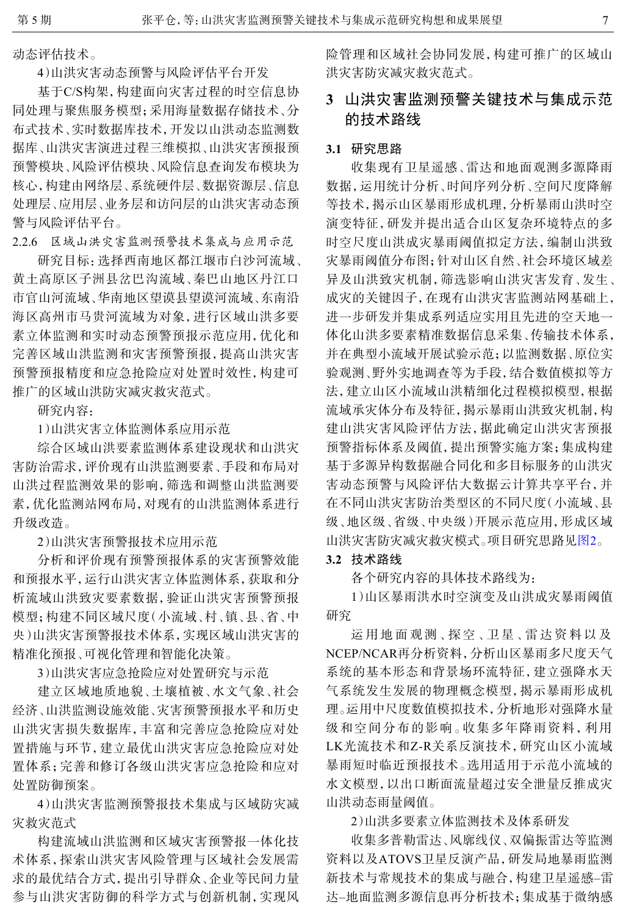动态评估技术。

4)山洪灾害动态预警与风险评估平台开发

基于C/S构架,构建面向灾害过程的时空信息协 同处理与聚焦服务模型;采用海量数据存储技术、分 布式技术、实时数据库技术,开发以山洪动态监测数 据库、山洪灾害演进过程三维模拟、山洪灾害预报预 预警模块、风险评估模块、风险信息查询发布模块为 核心,构建由网络层、系统硬件层、数据资源层、信息 处理层、应用层、业务层和访问层的山洪灾害动态预 警与风险评估平台。

2.2.6 区域山洪灾害监测预警技术集成与应用示范

研究目标:选择西南地区都江堰市白沙河流域、 黄土高原区子洲县岔巴沟流域、秦巴山地区丹江口 市官山河流域、华南地区望谟县望谟河流域、东南沿 海区高州市马贵河流域为对象,进行区域山洪多要 素立体监测和实时动态预警预报示范应用,优化和 完善区域山洪监测和灾害预警预报,提高山洪灾害 预警预报精度和应急抢险应对处置时效性,构建可 推广的区域山洪防灾减灾救灾范式。

研究内容:

1)山洪灾害立体监测体系应用示范

综合区域山洪要素监测体系建设现状和山洪灾 害防治需求,评价现有山洪监测要素、手段和布局对 山洪过程监测效果的影响,筛选和调整山洪监测要 素,优化监测站网布局,对现有的山洪监测体系进行 升级改造。

2)山洪灾害预警报技术应用示范

分析和评价现有预警预报体系的灾害预警效能 和预报水平,运行山洪灾害立体监测体系,获取和分 析流域山洪致灾要素数据,验证山洪灾害预警预报 模型;构建不同区域尺度(小流域、村、镇、县、省、中 央)山洪灾害预警报技术体系,实现区域山洪灾害的 精准化预报、可视化管理和智能化决策。

3)山洪灾害应急抢险应对处置研究与示范

建立区域地质地貌、土壤植被、水文气象、社会 经济、山洪监测设施效能、灾害预警预报水平和历史 山洪灾害损失数据库,丰富和完善应急抢险应对处 置措施与环节,建立最优山洪灾害应急抢险应对处 置体系;完善和修订各级山洪灾害应急抢险和应对 处置防御预案。

4)山洪灾害监测预警报技术集成与区域防灾减 灾救灾范式

构建流域山洪监测和区域灾害预警报一体化技 术体系,探索山洪灾害风险管理与区域社会发展需 求的最优结合方式,提出引导群众、企业等民间力量 参与山洪灾害防御的科学方式与创新机制,实现风 险管理和区域社会协同发展,构建可推广的区域山 洪灾害防灾减灾救灾范式。

## **3** 山洪灾害监测预警关键技术与集成示范 的技术路线

## **3.1** 研究思路

收集现有卫星遥感、雷达和地面观测多源降雨 数据,运用统计分析、时间序列分析、空间尺度降解 等技术,揭示山区暴雨形成机理,分析暴雨山洪时空 演变特征,研发并提出适合山区复杂环境特点的多 时空尺度山洪成灾暴雨阈值拟定方法,编制山洪致 灾暴雨阈值分布图;针对山区自然、社会环境区域差 异及山洪致灾机制,筛选影响山洪灾害发育、发生、 成灾的关键因子,在现有山洪灾害监测站网基础上, 进一步研发并集成系列适应实用且先进的空天地一 体化山洪多要素精准数据信息采集、传输技术体系, 并在典型小流域开展试验示范;以监测数据、原位实 验观测、野外实地调查等为手段,结合数值模拟等方 法,建立山区小流域山洪精细化过程模拟模型,根据 流域承灾体分布及特征,揭示暴雨山洪致灾机制,构 建山洪灾害风险评估方法,据此确定山洪灾害预报 预警指标体系及阈值,提出预警实施方案;集成构建 基于多源异构数据融合同化和多目标服务的山洪灾 害动态预警与风险评估大数据云计算共享平台,并 在不同山洪灾害防治类型区的不同尺度(小流域、县 级、地区级、省级、中央级)开展示范应用,形成区域 山洪灾害防灾减灾救灾模式。项目研究思路见[图](#page-7-0)[2](#page-7-0)。

#### **3.2** 技术路线

各个研究内容的具体技术路线为:

1)山区暴雨洪水时空演变及山洪成灾暴雨阈值 研究

运用地面观测、探空、卫星、雷达资料以及 NCEP/NCAR再分析资料,分析山区暴雨多尺度天气 系统的基本形态和背景场环流特征,建立强降水天 气系统发生发展的物理概念模型,揭示暴雨形成机 理。运用中尺度数值模拟技术,分析地形对强降水量 级和空间分布的影响。收集多年降雨资料,利用 LK光流技术和Z-R关系反演技术,研究山区小流域 暴雨短时临近预报技术。选用适用于示范小流域的 水文模型,以出口断面流量超过安全泄量反推成灾 山洪动态雨量阈值。

2)山洪多要素立体监测技术及体系研发

收集多普勒雷达、风廓线仪、双偏振雷达等监测 资料以及ATOVS卫星反演产品,研发局地暴雨监测 新技术与常规技术的集成与融合,构建卫星遥感–雷 达–地面监测多源信息再分析技术;集成基于微纳感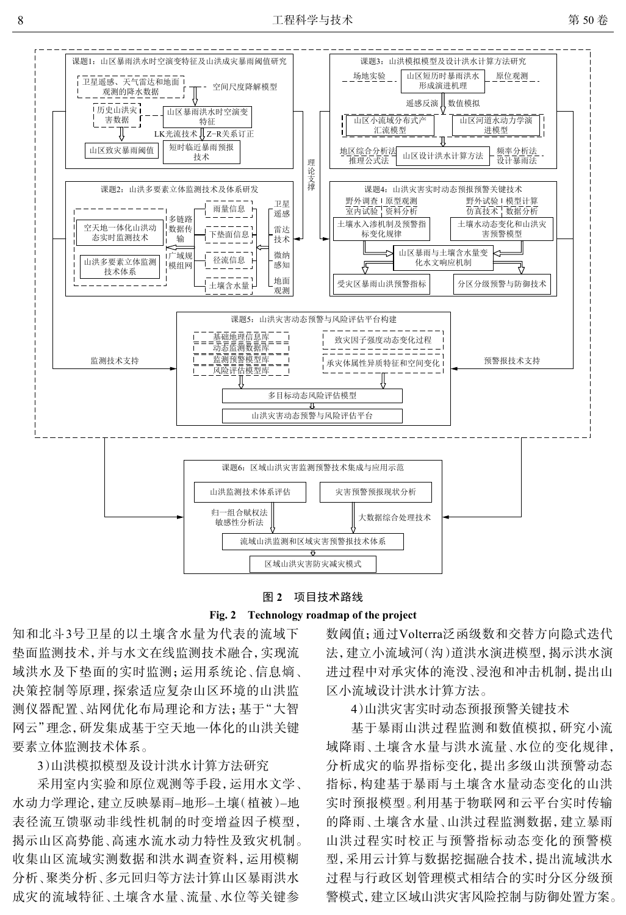<span id="page-7-0"></span>





知和北斗3号卫星的以土壤含水量为代表的流域下 垫面监测技术,并与水文在线监测技术融合,实现流 域洪水及下垫面的实时监测;运用系统论、信息熵、 决策控制等原理,探索适应复杂山区环境的山洪监 测仪器配置、站网优化布局理论和方法;基于"大智 网云"理念,研发集成基于空天地一体化的山洪关键 要素立体监测技术体系。

3)山洪模拟模型及设计洪水计算方法研究

采用室内实验和原位观测等手段,运用水文学、 水动力学理论,建立反映暴雨–地形–土壤(植被)–地 表径流互馈驱动非线性机制的时变增益因子模型, 揭示山区高势能、高速水流水动力特性及致灾机制。 收集山区流域实测数据和洪水调查资料,运用模糊 分析、聚类分析、多元回归等方法计算山区暴雨洪水 成灾的流域特征、土壤含水量、流量、水位等关键参

数阈值;通过Volterra泛函级数和交替方向隐式迭代 法,建立小流域河(沟)道洪水演进模型,揭示洪水演 进过程中对承灾体的淹没、浸泡和冲击机制,提出山 区小流域设计洪水计算方法。

4)山洪灾害实时动态预报预警关键技术

基于暴雨山洪过程监测和数值模拟,研究小流 域降雨、土壤含水量与洪水流量、水位的变化规律, 分析成灾的临界指标变化,提出多级山洪预警动态 指标,构建基于暴雨与土壤含水量动态变化的山洪 实时预报模型。利用基于物联网和云平台实时传输 的降雨、土壤含水量、山洪过程监测数据,建立暴雨 山洪过程实时校正与预警指标动态变化的预警模 型,采用云计算与数据挖掘融合技术,提出流域洪水 过程与行政区划管理模式相结合的实时分区分级预 警模式,建立区域山洪灾害风险控制与防御处置方案。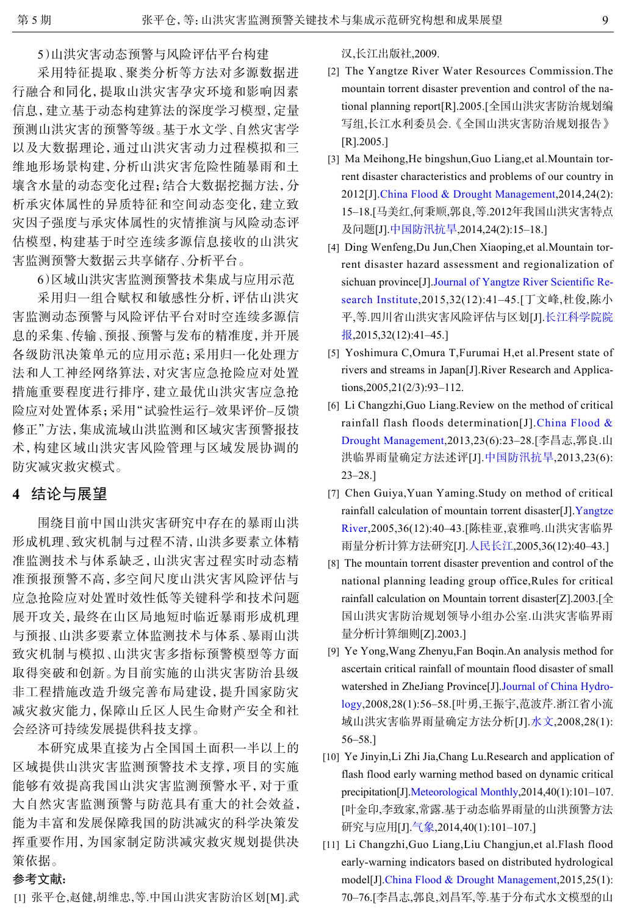5)山洪灾害动态预警与风险评估平台构建

采用特征提取、聚类分析等方法对多源数据进 行融合和同化,提取山洪灾害孕灾环境和影响因素 信息,建立基于动态构建算法的深度学习模型,定量 预测山洪灾害的预警等级。基于水文学、自然灾害学 以及大数据理论,通过山洪灾害动力过程模拟和三 维地形场景构建,分析山洪灾害危险性随暴雨和土 壤含水量的动态变化过程;结合大数据挖掘方法,分 析承灾体属性的异质特征和空间动态变化,建立致 灾因子强度与承灾体属性的灾情推演与风险动态评 估模型,构建基于时空连续多源信息接收的山洪灾 害监测预警大数据云共享储存、分析平台。

6)区域山洪灾害监测预警技术集成与应用示范

采用归一组合赋权和敏感性分析,评估山洪灾 害监测动态预警与风险评估平台对时空连续多源信 息的采集、传输、预报、预警与发布的精准度,并开展 各级防汛决策单元的应用示范;采用归一化处理方 法和人工神经网络算法,对灾害应急抢险应对处置 措施重要程度进行排序,建立最优山洪灾害应急抢 险应对处置体系;采用"试验性运行–效果评价–反馈 修正"方法,集成流域山洪监测和区域灾害预警报技 术,构建区域山洪灾害风险管理与区域发展协调的 防灾减灾救灾模式。

## **4** 结论与展望

围绕目前中国山洪灾害研究中存在的暴雨山洪 形成机理、致灾机制与过程不清,山洪多要素立体精 准监测技术与体系缺乏,山洪灾害过程实时动态精 准预报预警不高,多空间尺度山洪灾害风险评估与 应急抢险应对处置时效性低等关键科学和技术问题 展开攻关,最终在山区局地短时临近暴雨形成机理 与预报、山洪多要素立体监测技术与体系、暴雨山洪 致灾机制与模拟、山洪灾害多指标预警模型等方面 取得突破和创新。为目前实施的山洪灾害防治县级 非工程措施改造升级完善布局建设,提升国家防灾 减灾救灾能力,保障山丘区人民生命财产安全和社 会经济可持续发展提供科技支撑。

本研究成果直接为占全国国土面积一半以上的 区域提供山洪灾害监测预警技术支撑,项目的实施 能够有效提高我国山洪灾害监测预警水平,对于重 大自然灾害监测预警与防范具有重大的社会效益, 能为丰富和发展保障我国的防洪减灾的科学决策发 挥重要作用,为国家制定防洪减灾救灾规划提供决 策依据。

### 参考文献:

<span id="page-8-0"></span>[1] 张平仓,赵健,胡维忠,等.中国山洪灾害防治区划[M].武

汉,长江出版社,2009.

- <span id="page-8-1"></span>[2] The Yangtze River Water Resources Commission. The mountain torrent disaster prevention and control of the national planning report[R].2005.[全国山洪灾害防治规划编 写组,长江水利委员会.《全国山洪灾害防治规划报告》 [R].2005.]
- [3] Ma Meihong, He bingshun, Guo Liang, et al. Mountain torrent disaster characteristics and problems of our country in 2012[J].[China Flood & Drought Management](http://dx.doi.org/10.3969/j.issn.1673-9264.2014.02.007),2014,24(2): 15–18.[马美红,何秉顺,郭良,等.2012年我国山洪灾害特点 及问题[J].[中国防汛抗旱](http://dx.doi.org/10.3969/j.issn.1673-9264.2014.02.007),2014,24(2):15–18.]
- <span id="page-8-2"></span>Ding Wenfeng,Du Jun,Chen Xiaoping,et al.Mountain tor-[4] rent disaster hazard assessment and regionalization of sichuan province[J][.Journal of Yangtze River Scientific Re](http://dx.doi.org/10.11988/ckyyb.20140518)[search Institute](http://dx.doi.org/10.11988/ckyyb.20140518),2015,32(12):41–45.[丁文峰,杜俊,陈小 平,等.四川省山洪灾害风险评估与区划[J].[长江科学院院](http://dx.doi.org/10.11988/ckyyb.20140518) [报](http://dx.doi.org/10.11988/ckyyb.20140518),2015,32(12):41-45.]
- <span id="page-8-3"></span>Yoshimura C,Omura T,Furumai H,et al.Present state of [5] rivers and streams in Japan[J].River Research and Applications,2005,21(2/3):93–112.
- <span id="page-8-4"></span>[6] Li Changzhi, Guo Liang. Review on the method of critical rainfall flash floods determination[J].[China Flood &](http://dx.doi.org/10.3969/j.issn.1673-9264.2013.06.010) [Drought Management](http://dx.doi.org/10.3969/j.issn.1673-9264.2013.06.010),2013,23(6):23–28.[李昌志,郭良.山 洪临界雨量确定方法述评[J].[中国防汛抗旱](http://dx.doi.org/10.3969/j.issn.1673-9264.2013.06.010),2013,23(6): 23–28.]
- <span id="page-8-5"></span>[7] Chen Guiya, Yuan Yaming. Study on method of critical rainfall calculation of mountain torrent disaster[J].[Yangtze](http://dx.doi.org/10.3969/j.issn.1001-4179.2005.12.016) [River,](http://dx.doi.org/10.3969/j.issn.1001-4179.2005.12.016)2005,36(12):40–43.[陈桂亚,袁雅鸣.山洪灾害临界 雨量分析计算方法研究[J].[人民长江](http://dx.doi.org/10.3969/j.issn.1001-4179.2005.12.016),2005,36(12):40–43.]
- <span id="page-8-6"></span>[8] The mountain torrent disaster prevention and control of the national planning leading group office,Rules for critical rainfall calculation on Mountain torrent disaster[Z].2003.[全 国山洪灾害防治规划领导小组办公室.山洪灾害临界雨 量分析计算细则[Z].2003.]
- Ye Yong,Wang Zhenyu,Fan Boqin.An analysis method for [9] ascertain critical rainfall of mountain flood disaster of small [wate](http://dx.doi.org/10.3969/j.issn.1000-0852.2008.01.013)rshed in ZheJiang Province[J][.Journal of China Hydro](http://dx.doi.org/10.3969/j.issn.1000-0852.2008.01.013)[logy](http://dx.doi.org/10.3969/j.issn.1000-0852.2008.01.013),2008,28(1):56–58.[叶勇,王振宇,范[波芹](http://dx.doi.org/10.3969/j.issn.1000-0852.2008.01.013).浙江省小流 域山洪灾害临界雨量确定方法分析[J].[水文](http://dx.doi.org/10.3969/j.issn.1000-0852.2008.01.013),2008,28(1): 56–58.]
- [10] Ye Jinyin, Li Zhi Jia, Chang Lu. Research and application of flash flood ear[ly warning method based](http://dx.doi.org/10.3969/j.issn.1004-4965.2014.01.011) on dynamic critical precipitation[J][.Meteorological Monthly](http://dx.doi.org/10.3969/j.issn.1004-4965.2014.01.011),2014,40(1):101–107. [叶金印,李致家,[常露](http://dx.doi.org/10.3969/j.issn.1004-4965.2014.01.011).基于动态临界雨量的山洪预警方法 研究与应用[J].[气象](http://dx.doi.org/10.3969/j.issn.1004-4965.2014.01.011),2014,40(1):101–107.]
- [11] Li Changzhi, Guo Liang, Liu Changjun, et al. Flash flood early-wa[rning indicators based on distributed h](http://dx.doi.org/10.3969/j.issn.1673-9264.2015.01.024)ydrological model[J].[China Flood & Drought Management](http://dx.doi.org/10.3969/j.issn.1673-9264.2015.01.024),2015,25(1): 70–76.[李昌志,郭良,刘昌军,等.基于分布式水文模型的山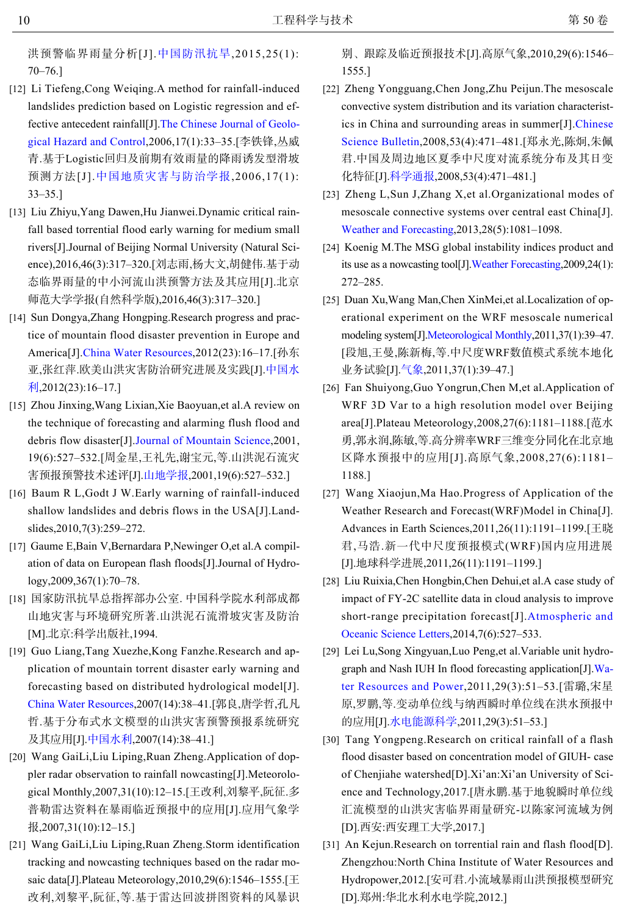洪预警临界雨量分析[J].[中国防汛抗旱](http://dx.doi.org/10.3969/j.issn.1673-9264.2015.01.024),2015,25(1): 70–76.]

- <span id="page-9-0"></span>[12] Li Tiefeng, Cong Weiqing. A method for rainfall-induced landslides prediction based on Logistic regression and effective antecedent rainfall[J][.The Chinese Journal of Geolo](http://dx.doi.org/10.3969/j.issn.1003-8035.2006.01.008)[gical Hazard and Control,](http://dx.doi.org/10.3969/j.issn.1003-8035.2006.01.008)2006,17(1):33–35.[李铁锋,丛威 青.基于Logistic回归及前期有效雨量的降雨诱发型滑坡 预测方法[J].[中国地质灾害与防治学报](http://dx.doi.org/10.3969/j.issn.1003-8035.2006.01.008),2006,17(1): 33–35.]
- <span id="page-9-1"></span>[13] Liu Zhiyu, Yang Dawen, Hu Jianwei. Dynamic critical rainfall based torrential flood early warning for medium small rivers[J].Journal of Beijing Normal University (Natural Science),2016,46(3):317–320.[刘志雨,杨大文,胡健伟.基于动 态临界雨量的中小河流山洪预警方法及其应用[J].北京 师范大学学报(自然科学版),2016,46(3):317–320.]
- <span id="page-9-2"></span>[14] Sun Dongya, Zhang Hongping. Research progress and practice of mountain flood disaster prevention in Europe and America[J].[China Water Resources](http://dx.doi.org/10.3969/j.issn.1000-1123.2012.23.007),2012(23):16–17.[孙东 亚,张红萍.欧美山洪灾害防治研究进展及实践[J].[中国水](http://dx.doi.org/10.3969/j.issn.1000-1123.2012.23.007) [利](http://dx.doi.org/10.3969/j.issn.1000-1123.2012.23.007),2012(23):16–17.]
- <span id="page-9-3"></span>[15] Zhou Jinxing, Wang Lixian, Xie Baoyuan, et al. A review on the technique of forecasting and alarming flush flood and debris flow disaster[J].[Journal of Mountain Science,](http://dx.doi.org/10.3969/j.issn.1008-2786.2001.06.008)2001, 19(6):527–532.[周金星,王礼先,谢宝元,等.山洪泥石流灾 害预报预警技术述评[J].[山地学报](http://dx.doi.org/10.3969/j.issn.1008-2786.2001.06.008),2001,19(6):527–532.]
- <span id="page-9-4"></span>[16] Baum R L, Godt J W. Early warning of rainfall-induced shallow landslides and debris flows in the USA[J].Landslides,2010,7(3):259–272.
- <span id="page-9-5"></span>[17] Gaume E, Bain V, Bernardara P, Newinger O, et al. A compilation of data on European flash floods[J].Journal of Hydrology,2009,367(1):70–78.
- <span id="page-9-6"></span>[18] 国家防汛抗旱总指挥部办公室. 中国科学院水利部成都 山地灾害与环境研究所著.山洪泥石流滑坡灾害及防治 [M].北京:科学出版社,1994.
- <span id="page-9-7"></span>[19] Guo Liang, Tang Xuezhe, Kong Fanzhe. Research and application of mountain torrent disaster early warning and [forecasting based on d](http://dx.doi.org/10.3969/j.issn.1000-1123.2007.14.016)istributed hydrological model[J]. [China Water Resources](http://dx.doi.org/10.3969/j.issn.1000-1123.2007.14.016),2007(14):38–41.[郭良,唐学哲,孔凡 哲.基于分[布式水文模](http://dx.doi.org/10.3969/j.issn.1000-1123.2007.14.016)型的山洪灾害预警预报系统研究 及其应用[J].[中国水利](http://dx.doi.org/10.3969/j.issn.1000-1123.2007.14.016),2007(14):38–41.]
- <span id="page-9-8"></span>[20] Wang GaiLi, Liu Liping, Ruan Zheng. Application of doppler radar observation to rainfall nowcasting[J].Meteorological Monthly,2007,31(10):12–15.[王改利,刘黎平,阮征.多 普勒雷达资料在暴雨临近预报中的应用[J].应用气象学 报,2007,31(10):12–15.]
- [21] Wang GaiLi, Liu Liping, Ruan Zheng. Storm identification tracking and nowcasting techniques based on the radar mosaic data[J].Plateau Meteorology,2010,29(6):1546–1555.[王 改利,刘黎平,阮征,等.基于雷达回波拼图资料的风暴识

别、跟踪及临近预报技术[J].高原气象,2010,29(6):1546– 1555.]

- <span id="page-9-9"></span>[22] Zheng Yongguang, Chen Jong, Zhu Peijun. The mesoscale convective system distribution and its variation characteristics in China and surrounding areas in summer[J].[Chinese](http://dx.doi.org/10.3321/j.issn:0023-074X.2008.04.015) [Science Bulletin](http://dx.doi.org/10.3321/j.issn:0023-074X.2008.04.015),2008,53(4):471–481.[郑永光,陈炯,朱佩 君.中国及周边地区夏季中尺度对流系统分布及其日变 化特征[J].[科学通报](http://dx.doi.org/10.3321/j.issn:0023-074X.2008.04.015),2008,53(4):471–481.]
- <span id="page-9-10"></span>[23] Zheng L,Sun J,Zhang X,et al.Organizational modes of mesoscale connective systems over central east China[J]. [Weather and Forecasting](http://dx.doi.org/10.1175/WAF-D-12-00088.1),2013,28(5):1081–1098.
- [24] Koenig M.The MSG global instability indices product and its use as a nowcasting tool[J][.Weather Forecasting,](http://dx.doi.org/10.1175/2008WAF2222141.1)2009,24(1): 272–285.
- [25] Duan Xu, Wang Man, Chen Xin Mei, et al. Localization of operational experiment on the WRF mesoscale numerical modeling system[J].[Meteorological Monthly](http://dx.doi.org/10.3969/j.issn.1002-252X.2011.01.015),2011,37(1):39–47. [段旭,王曼,陈新梅,等.中尺度WRF数值模式系统本地化 业务试验[J].[气象](http://dx.doi.org/10.3969/j.issn.1002-252X.2011.01.015),2011,37(1):39–47.]
- [26] Fan Shuiyong, Guo Yongrun, Chen M, et al. Application of WRF 3D Var to a high resolution model over Beijing area[J].Plateau Meteorology,2008,27(6):1181–1188.[范水 勇,郭永润,陈敏,等.高分辨率WRF三维变分同化在北京地 区降水预报中的应用[J].高原气象,2008,27(6):1181– 1188.]
- Wang Xiaojun,Ma Hao.Progress of Application of the [27] Weather Research and Forecast(WRF)Model in China[J]. Advances in Earth Sciences,2011,26(11):1191–1199.[王晓 君,马浩.新一代中尺度预报模式(WRF)国内应用进展 [J].地球科学进展,2011,26(11):1191–1199.]
- [28] Liu Ruixia, Chen Hongbin, Chen Dehui, et al. A case study of impact of FY-2C satellite data in cloud analysis to improve short-range precipitation forecast[J].[Atmospheric and](http://dx.doi.org/10.1080/16742834.2014.11447219) [Oceanic Science Letters](http://dx.doi.org/10.1080/16742834.2014.11447219),2014,7(6):527–533.
- <span id="page-9-11"></span>Lei Lu,Song Xingyuan,Luo Peng,et al.Variable unit hydro-[29] [graph and Nash IUH In floo](http://dx.doi.org/10.3969/j.issn.1000-7709.2011.03.015)d forecasting application[J][.Wa](http://dx.doi.org/10.3969/j.issn.1000-7709.2011.03.015)[ter Resources and Power](http://dx.doi.org/10.3969/j.issn.1000-7709.2011.03.015),2011,29(3):51–53.[雷璐,宋星 原,罗鹏,等.[变动单位线与](http://dx.doi.org/10.3969/j.issn.1000-7709.2011.03.015)纳西瞬时单位线在洪水预报中 的应用[J].[水电能源科学](http://dx.doi.org/10.3969/j.issn.1000-7709.2011.03.015),2011,29(3):51–53.]
- <span id="page-9-12"></span>[30] Tang Yongpeng. Research on critical rainfall of a flash flood disaster based on concentration model of GIUH- case of Chenjiahe watershed[D].Xi'an:Xi'an University of Science and Technology,2017.[唐永鹏.基于地貌瞬时单位线 汇流模型的山洪灾害临界雨量研究-以陈家河流域为例 [D].西安:西安理工大学,2017.]
- [31] An Kejun.Research on torrential rain and flash flood[D]. Zhengzhou:North China Institute of Water Resources and Hydropower,2012.[安可君.小流域暴雨山洪预报模型研究 [D].郑州:华北水利水电学院,2012.]